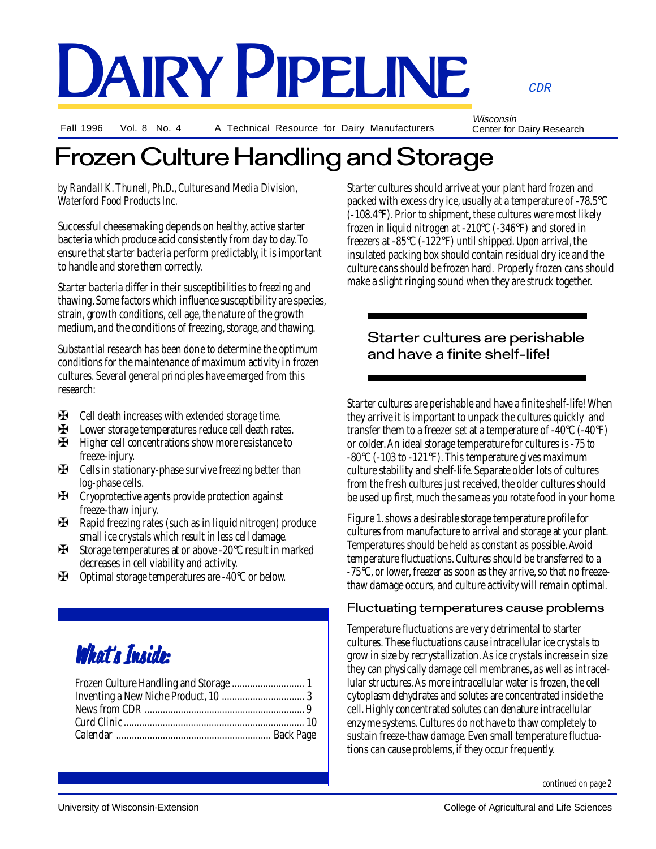#### CDR

DAIRY PIPELINE

Fall 1996 Vol. 8 No. 4

A Technical Resource for Dairy Manufacturers

Wisconsin Center for Dairy Research

### Frozen Culture Handling and Storage

*by Randall K. Thunell, Ph.D., Cultures and Media Division, Waterford Food Products Inc.*

Successful cheesemaking depends on healthy, active starter bacteria which produce acid consistently from day to day. To ensure that starter bacteria perform predictably, it is important to handle and store them correctly.

Starter bacteria differ in their susceptibilities to freezing and thawing. Some factors which influence susceptibility are species, strain, growth conditions, cell age, the nature of the growth medium, and the conditions of freezing, storage, and thawing.

Substantial research has been done to determine the optimum conditions for the maintenance of maximum activity in frozen cultures. Several general principles have emerged from this research:

- ✠ Cell death increases with extended storage time.
- ✠ Lower storage temperatures reduce cell death rates.
- Higher cell concentrations show more resistance to freeze-injury.
- ✠ Cells in stationary-phase survive freezing better than log-phase cells.
- ✠ Cryoprotective agents provide protection against freeze-thaw injury.
- ✠ Rapid freezing rates (such as in liquid nitrogen) produce small ice crystals which result in less cell damage.
- ✠ Storage temperatures at or above -20°C result in marked decreases in cell viability and activity.
- ✠ Optimal storage temperatures are -40°C or below.

# What's Inside:

Starter cultures should arrive at your plant hard frozen and packed with excess dry ice, usually at a temperature of -78.5°C (-108.4°F). Prior to shipment, these cultures were most likely frozen in liquid nitrogen at -210°C (-346°F) and stored in freezers at -85°C (-122°F) until shipped. Upon arrival, the insulated packing box should contain residual dry ice and the culture cans should be frozen hard. Properly frozen cans should make a slight ringing sound when they are struck together.

#### Starter cultures are perishable and have a finite shelf-life!

Starter cultures are perishable and have a finite shelf-life! When they arrive it is important to unpack the cultures quickly and transfer them to a freezer set at a temperature of  $-40^{\circ}C$  ( $-40^{\circ}F$ ) or colder. An ideal storage temperature for cultures is -75 to  $-80^{\circ}$ C ( $-103$  to  $-121^{\circ}$ F). This temperature gives maximum culture stability and shelf-life. Separate older lots of cultures from the fresh cultures just received, the older cultures should be used up first, much the same as you rotate food in your home.

Figure 1. shows a desirable storage temperature profile for cultures from manufacture to arrival and storage at your plant. Temperatures should be held as constant as possible. Avoid temperature fluctuations. Cultures should be transferred to a -75°C, or lower, freezer as soon as they arrive, so that no freezethaw damage occurs, and culture activity will remain optimal.

#### Fluctuating temperatures cause problems

Temperature fluctuations are very detrimental to starter cultures. These fluctuations cause intracellular ice crystals to grow in size by recrystallization. As ice crystals increase in size they can physically damage cell membranes, as well as intracellular structures. As more intracellular water is frozen, the cell cytoplasm dehydrates and solutes are concentrated inside the cell. Highly concentrated solutes can denature intracellular enzyme systems. Cultures do not have to thaw completely to sustain freeze-thaw damage. Even small temperature fluctuations can cause problems, if they occur frequently.

*continued on page 2*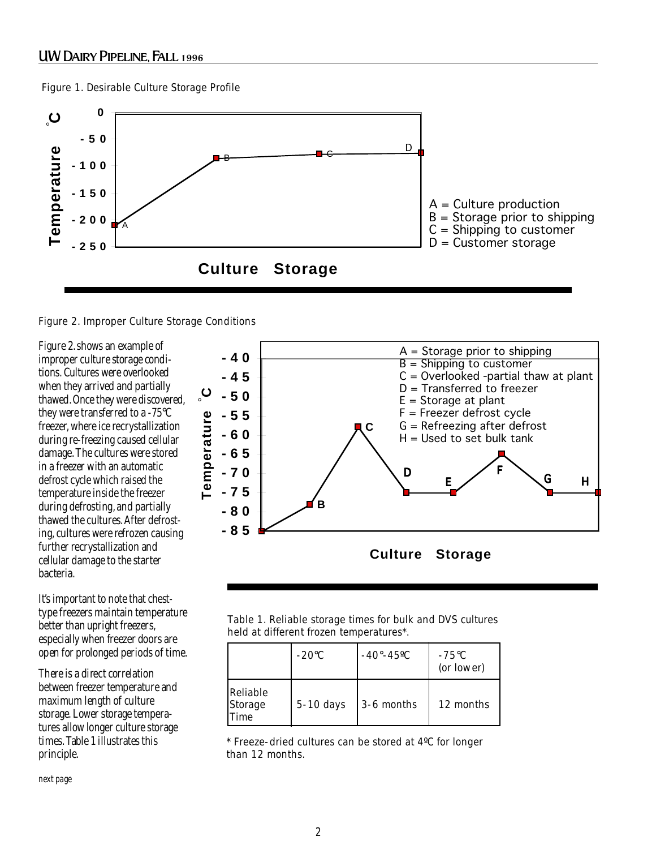Figure 1. Desirable Culture Storage Profile



Figure 2. Improper Culture Storage Conditions

Figure 2. shows an example of improper culture storage conditions. Cultures were overlooked when they arrived and partially thawed. Once they were discovered, they were transferred to a -75°C freezer, where ice recrystallization during re-freezing caused cellular damage. The cultures were stored in a freezer with an automatic defrost cycle which raised the temperature inside the freezer during defrosting, and partially thawed the cultures. After defrosting, cultures were refrozen causing further recrystallization and cellular damage to the starter bacteria.

It's important to note that chesttype freezers maintain temperature better than upright freezers, especially when freezer doors are open for prolonged periods of time.

There is a direct correlation between freezer temperature and maximum length of culture storage. Lower storage temperatures allow longer culture storage times. Table 1 illustrates this principle.

**B C -85 -80 -75 -70 -65 -60 -55 -50 -45 -40 Culture Storage Temperature C A=Storage prior to**  A = Storage prior to shipping **shipping** B = Shipping to customer **B=Shipping to customer** C = Overlooked -partial thaw at plant **C=Overlooked-Partial**  D = Transferred to freezer **thaw at plant** E = Storage at plant **D=Transferred to freezer** F = Freezer defrost cycle G = Refreezing after defrost H = Used to set bulk tank **G=Refreezing after** D E F G H **Temperature** C

Table 1. Reliable storage times for bulk and DVS cultures held at different frozen temperatures\*.

|                                           | $-20^{\circ}$ C | $-40^{\circ} - 45^{\circ}$ C | $-75^{\circ}C$<br>(or lower) |
|-------------------------------------------|-----------------|------------------------------|------------------------------|
| Reliable<br><b>Storage</b><br><b>Time</b> | $5-10$ days     | 3-6 months                   | 12 months                    |

\* Freeze-dried cultures can be stored at 4ºC for longer than 12 months.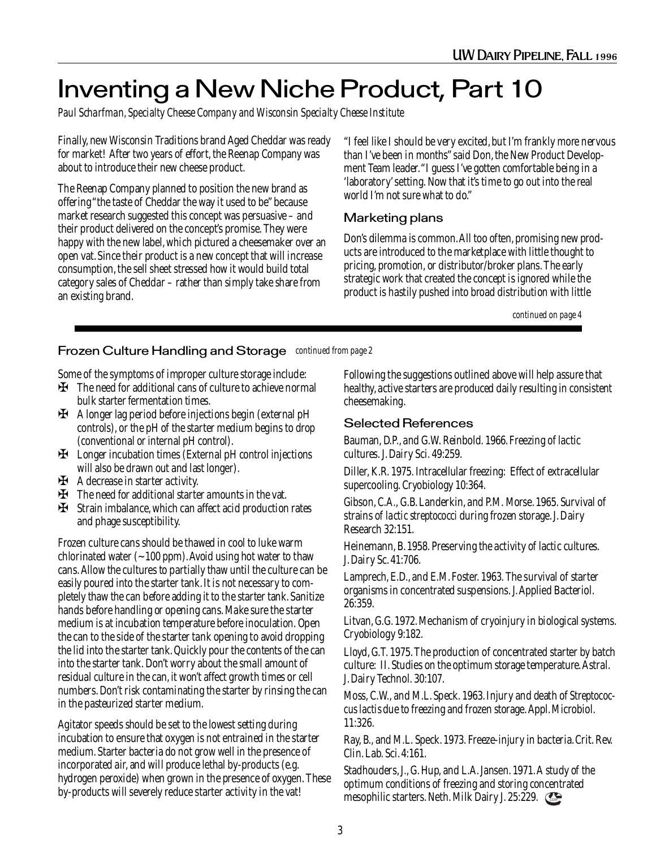## Inventing a New Niche Product, Part 10

*Paul Scharfman, Specialty Cheese Company and Wisconsin Specialty Cheese Institute*

Finally, new Wisconsin Traditions brand Aged Cheddar was ready for market! After two years of effort, the Reenap Company was about to introduce their new cheese product.

The Reenap Company planned to position the new brand as offering "the taste of Cheddar the way it used to be" because market research suggested this concept was persuasive – and their product delivered on the concept's promise. They were happy with the new label, which pictured a cheesemaker over an open vat. Since their product is a new concept that will increase consumption, the sell sheet stressed how it would build total category sales of Cheddar – rather than simply take share from an existing brand.

"I feel like I should be very excited, but I'm frankly more nervous than I've been in months" said Don, the New Product Development Team leader. "I guess I've gotten comfortable being in a 'laboratory' setting. Now that it's time to go out into the real world I'm not sure what to do."

#### Marketing plans

Don's dilemma is common. All too often, promising new products are introduced to the marketplace with little thought to pricing, promotion, or distributor/broker plans. The early strategic work that created the concept is ignored while the product is hastily pushed into broad distribution with little

*continued on page 4*

#### *continued from page 2* Frozen Culture Handling and Storage

Some of the symptoms of improper culture storage include:

- ✠ The need for additional cans of culture to achieve normal bulk starter fermentation times.
- ✠ A longer lag period before injections begin (external pH controls), or the pH of the starter medium begins to drop (conventional or internal pH control).
- ✠ Longer incubation times (External pH control injections will also be drawn out and last longer).
- ✠ A decrease in starter activity.
- ✠ The need for additional starter amounts in the vat.
- ✠ Strain imbalance, which can affect acid production rates and phage susceptibility.

Frozen culture cans should be thawed in cool to luke warm chlorinated water  $(-100 \text{ ppm})$ . Avoid using hot water to thaw cans. Allow the cultures to partially thaw until the culture can be easily poured into the starter tank. It is not necessary to completely thaw the can before adding it to the starter tank. Sanitize hands before handling or opening cans. Make sure the starter medium is at incubation temperature before inoculation. Open the can to the side of the starter tank opening to avoid dropping the lid into the starter tank. Quickly pour the contents of the can into the starter tank. Don't worry about the small amount of residual culture in the can, it won't affect growth times or cell numbers. Don't risk contaminating the starter by rinsing the can in the pasteurized starter medium.

Agitator speeds should be set to the lowest setting during incubation to ensure that oxygen is not entrained in the starter medium. Starter bacteria do not grow well in the presence of incorporated air, and will produce lethal by-products (e.g. hydrogen peroxide) when grown in the presence of oxygen. These by-products will severely reduce starter activity in the vat!

Following the suggestions outlined above will help assure that healthy, active starters are produced daily resulting in consistent cheesemaking.

#### Selected References

Bauman, D.P., and G.W. Reinbold. 1966. Freezing of lactic cultures. J. Dairy Sci. 49:259.

Diller, K.R. 1975. Intracellular freezing: Effect of extracellular supercooling. Cryobiology 10:364.

Gibson, C.A., G.B. Landerkin, and P.M. Morse. 1965. Survival of strains of *lactic streptococci* during frozen storage. J. Dairy Research 32:151.

Heinemann, B. 1958. Preserving the activity of lactic cultures. J. Dairy Sc. 41:706.

Lamprech, E.D., and E.M. Foster. 1963. The survival of starter organisms in concentrated suspensions. J. Applied Bacteriol. 26:359.

Litvan, G.G. 1972. Mechanism of cryoinjury in biological systems. Cryobiology 9:182.

Lloyd, G.T. 1975. The production of concentrated starter by batch culture: II. Studies on the optimum storage temperature. Astral. J. Dairy Technol. 30:107.

Moss, C.W., and M.L. Speck. 1963. Injury and death of *Streptococcus lactis* due to freezing and frozen storage. Appl. Microbiol. 11:326.

Ray, B., and M.L. Speck. 1973. Freeze-injury in bacteria. Crit. Rev. Clin. Lab. Sci. 4:161.

Stadhouders, J., G. Hup, and L.A. Jansen. 1971. A study of the optimum conditions of freezing and storing concentrated mesophilic starters. Neth. Milk Dairy J. 25:229.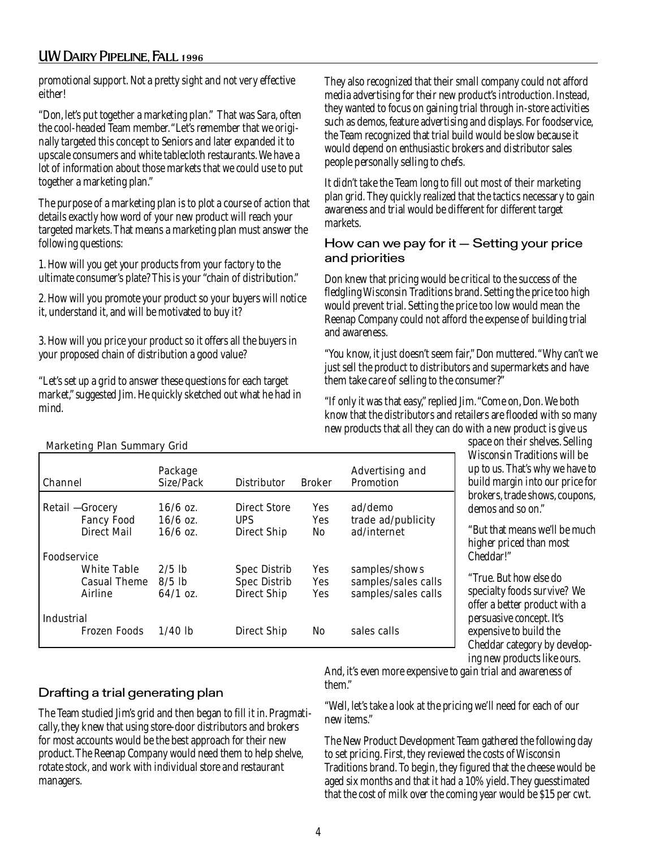#### UW Dairy Pipeline, Fall 1996

promotional support. Not a pretty sight and not very effective either!

"Don, let's put together a marketing plan." That was Sara, often the cool-headed Team member. "Let's remember that we originally targeted this concept to Seniors and later expanded it to upscale consumers and white tablecloth restaurants. We have a lot of information about those markets that we could use to put together a marketing plan."

The purpose of a marketing plan is to plot a course of action that details exactly how word of your new product will reach your targeted markets. That means a marketing plan must answer the following questions:

1. How will you get your products from your factory to the ultimate consumer's plate? This is your "chain of distribution."

2. How will you promote your product so your buyers will notice it, understand it, and will be motivated to buy it?

3. How will you price your product so it offers all the buyers in your proposed chain of distribution a good value?

"Let's set up a grid to answer these questions for each target market," suggested Jim. He quickly sketched out what he had in mind.

They also recognized that their small company could not afford media advertising for their new product's introduction. Instead, they wanted to focus on gaining trial through in-store activities such as demos, feature advertising and displays. For foodservice, the Team recognized that trial build would be slow because it would depend on enthusiastic brokers and distributor sales people personally selling to chefs.

It didn't take the Team long to fill out most of their marketing plan grid. They quickly realized that the tactics necessary to gain awareness and trial would be different for different target markets.

#### How can we pay for it – Setting your price and priorities

Don knew that pricing would be critical to the success of the fledgling Wisconsin Traditions brand. Setting the price too high would prevent trial. Setting the price too low would mean the Reenap Company could not afford the expense of building trial and awareness.

"You know, it just doesn't seem fair," Don muttered. "Why can't we just sell the product to distributors and supermarkets and have them take care of selling to the consumer?"

"If only it was that easy," replied Jim. "Come on, Don. We both know that the distributors and retailers are flooded with so many new products that all they can do with a new product is give us

```
 Marketing Plan Summary Grid
```

| Channel                                                      | Package<br>Size/Pack                   | <b>Distributor</b>                                               | <b>Broker</b>                              | Advertising and<br>Promotion                                |
|--------------------------------------------------------------|----------------------------------------|------------------------------------------------------------------|--------------------------------------------|-------------------------------------------------------------|
| Retail - Grocery<br><b>Fancy Food</b><br><b>Direct Mail</b>  | $16/6$ oz.<br>$16/6$ oz.<br>$16/6$ oz. | <b>Direct Store</b><br><b>UPS</b><br><b>Direct Ship</b>          | <b>Yes</b><br><b>Yes</b><br>N <sub>o</sub> | ad/demo<br>trade ad/publicity<br>ad/internet                |
| Foodservice<br><b>White Table</b><br>Casual Theme<br>Airline | $2/5$ lb<br>$8/5$ lb<br>$64/1$ oz.     | <b>Spec Distrib</b><br><b>Spec Distrib</b><br><b>Direct Ship</b> | <b>Yes</b><br>Yes<br>Yes                   | samples/shows<br>samples/sales calls<br>samples/sales calls |
| <b>Industrial</b><br>Frozen Foods                            | $1/40$ lb                              | Direct Ship                                                      | No                                         | sales calls                                                 |

space on their shelves. Selling Wisconsin Traditions will be up to us. That's why we have to build margin into our price for brokers, trade shows, coupons, demos and so on."

"But that means we'll be much higher priced than most Cheddar!"

"True. But how else do specialty foods survive? We offer a better product with a persuasive concept. It's expensive to build the Cheddar category by developing new products like ours.

#### Drafting a trial generating plan

The Team studied Jim's grid and then began to fill it in. Pragmatically, they knew that using store-door distributors and brokers for most accounts would be the best approach for their new product. The Reenap Company would need them to help shelve, rotate stock, and work with individual store and restaurant managers.

And, it's even more expensive to gain trial and awareness of them."

"Well, let's take a look at the pricing we'll need for each of our new items."

The New Product Development Team gathered the following day to set pricing. First, they reviewed the costs of Wisconsin Traditions brand. To begin, they figured that the cheese would be aged six months and that it had a 10% yield. They guesstimated that the cost of milk over the coming year would be \$15 per cwt.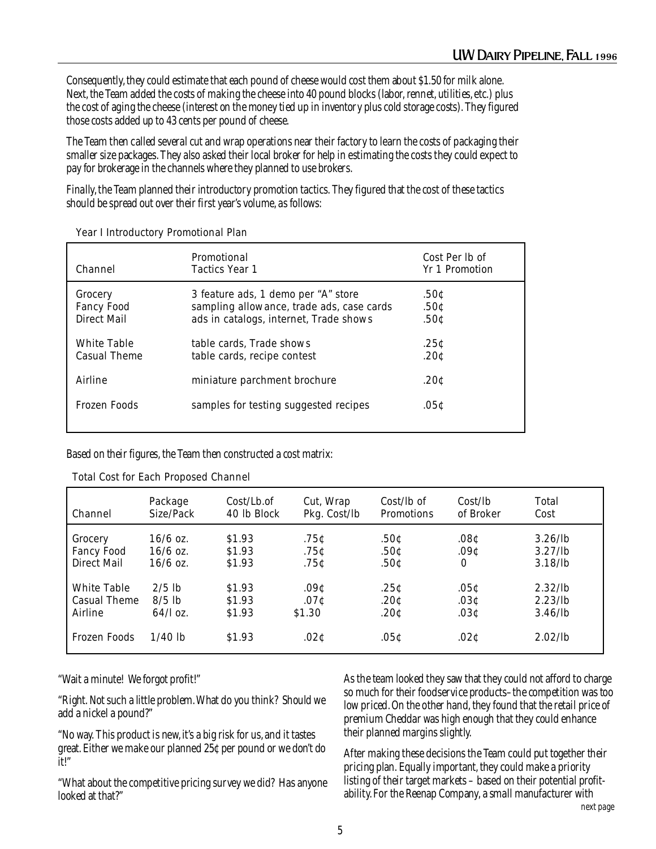Consequently, they could estimate that each pound of cheese would cost them about \$1.50 for milk alone. Next, the Team added the costs of making the cheese into 40 pound blocks (labor, rennet, utilities, etc.) plus the cost of aging the cheese (interest on the money tied up in inventory plus cold storage costs). They figured those costs added up to 43 cents per pound of cheese.

The Team then called several cut and wrap operations near their factory to learn the costs of packaging their smaller size packages. They also asked their local broker for help in estimating the costs they could expect to pay for brokerage in the channels where they planned to use brokers.

Finally, the Team planned their introductory promotion tactics. They figured that the cost of these tactics should be spread out over their first year's volume, as follows:

| Channel                                     | Promotional<br><b>Tactics Year 1</b>                                                                                       | Cost Per lb of<br><b>Yr</b> 1 Promotion |
|---------------------------------------------|----------------------------------------------------------------------------------------------------------------------------|-----------------------------------------|
| Grocery<br><b>Fancy Food</b><br>Direct Mail | 3 feature ads, 1 demo per "A" store<br>sampling allowance, trade ads, case cards<br>ads in catalogs, internet, Trade shows | .50¢<br>.50c<br>.50¢                    |
| <b>White Table</b><br>Casual Theme          | table cards, Trade shows<br>table cards, recipe contest                                                                    | .25c<br>.20c                            |
| Airline                                     | miniature parchment brochure                                                                                               | .20c                                    |
| Frozen Foods                                | samples for testing suggested recipes                                                                                      | .05¢                                    |

| Year I Introductory Promotional Plan |  |
|--------------------------------------|--|
|--------------------------------------|--|

Based on their figures, the Team then constructed a cost matrix:

| Channel            | Package    | Cost/Lb.of  | Cut, Wrap    | Cost/lb of        | Cost/b    | Total               |
|--------------------|------------|-------------|--------------|-------------------|-----------|---------------------|
|                    | Size/Pack  | 40 lb Block | Pkg. Cost/lb | <b>Promotions</b> | of Broker | Cost                |
| Grocery            | $16/6$ oz. | \$1.93      | .75c         | .50¢              | .08¢      | $3.26$ /lb          |
| <b>Fancy Food</b>  | $16/6$ oz. | \$1.93      | .75c         | .50c              | .09c      | $3.27$ /lb          |
| Direct Mail        | $16/6$ oz. | \$1.93      | .75c         | .50c              | 0         | $3.18$ /lb          |
| <b>White Table</b> | $2/5$ lb   | \$1.93      | .09c         | .25c              | .05c      | 2.32/lb             |
| Casual Theme       | $8/5$ lb   | \$1.93      | .07c         | .20c              | .03c      | 2.23 <sub>1</sub> b |
| Airline            | $64/log$ . | \$1.93      | \$1.30       | .20c              | .03c      | $3.46$ /lb          |
| Frozen Foods       | $1/40$ lb  | \$1.93      | .02c         | .05c              | .02c      | $2.02$ /lb          |

#### Total Cost for Each Proposed Channel

"Wait a minute! We forgot profit!"

"Right. Not such a little problem. What do you think? Should we add a nickel a pound?"

"No way. This product is new, it's a big risk for us, and it tastes great. Either we make our planned 25¢ per pound or we don't do it!"

"What about the competitive pricing survey we did? Has anyone looked at that?"

As the team looked they saw that they could not afford to charge so much for their foodservice products–the competition was too low priced. On the other hand, they found that the retail price of premium Cheddar was high enough that they could enhance their planned margins slightly.

*next page* After making these decisions the Team could put together their pricing plan. Equally important, they could make a priority listing of their target markets – based on their potential profitability. For the Reenap Company, a small manufacturer with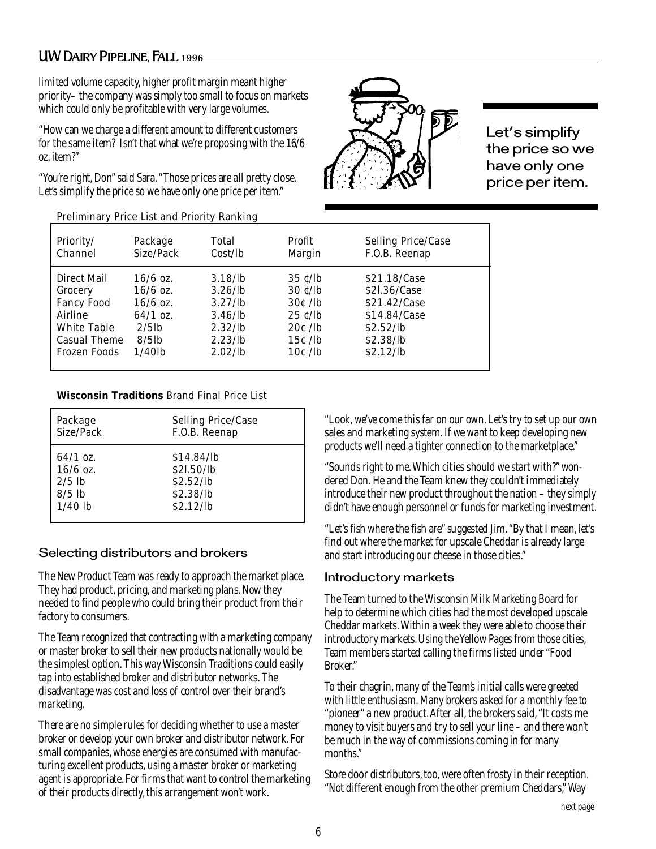#### UW Dairy Pipeline, Fall 1996

limited volume capacity, higher profit margin meant higher priority– the company was simply too small to focus on markets which could only be profitable with very large volumes.

"How can we charge a different amount to different customers for the same item? Isn't that what we're proposing with the 16/6 oz. item?"

"You're right, Don" said Sara. "Those prices are all pretty close. Let's simplify the price so we have only one price per item."



Let's simplify the price so we have only one price per item.

| Preliminary Price List and Priority Ranking |  |  |  |  |
|---------------------------------------------|--|--|--|--|
|---------------------------------------------|--|--|--|--|

| Priority/           | Package    | Total      | Profit                         | Selling Price/Case |
|---------------------|------------|------------|--------------------------------|--------------------|
| Channel             | Size/Pack  | Cost/b     | Margin                         | F.O.B. Reenap      |
| Direct Mail         | $16/6$ oz. | $3.18$ /lb | $35 \frac{\text{c}}{\text{h}}$ | \$21.18/Case       |
| Grocery             | $16/6$ oz. | 3.26/lb    | $30 \frac{\text{c}}{\text{h}}$ | \$21.36/Case       |
| <b>Fancy Food</b>   | $16/6$ oz. | 3.27/h     | $30c$ /lb                      | \$21.42/Case       |
| Airline             | $64/1$ oz. | 3.46/lb    | $25 \text{ c}/\text{lb}$       | \$14.84/Case       |
| <b>White Table</b>  | $2/5$ lb   | $2.32$ /lb | $20c$ /lb                      | \$2.52/lb          |
| <b>Casual Theme</b> | $8/5$ lb   | 2.23/lb    | $15c$ /lb                      | \$2.38/h           |
| <b>Frozen Foods</b> | $1/40$ lb  | 2.02/lb    | $10c$ /lb                      | \$2.12/lb          |

#### **Wisconsin Traditions** Brand Final Price List

| Package    | Selling Price/Case |
|------------|--------------------|
| Size/Pack  | F.O.B. Reenap      |
| $64/1$ oz. | \$14.84/lb         |
| $16/6$ oz. | \$21.50/lb         |
| $2/5$ lb   | \$2.52/lb          |
| $8/5$ lb   | \$2.38/lb          |
| $1/40$ lb  | \$2.12/lb          |

#### Selecting distributors and brokers

The New Product Team was ready to approach the market place. They had product, pricing, and marketing plans. Now they needed to find people who could bring their product from their factory to consumers.

The Team recognized that contracting with a marketing company or master broker to sell their new products nationally would be the simplest option. This way Wisconsin Traditions could easily tap into established broker and distributor networks. The disadvantage was cost and loss of control over their brand's marketing.

There are no simple rules for deciding whether to use a master broker or develop your own broker and distributor network. For small companies, whose energies are consumed with manufacturing excellent products, using a master broker or marketing agent is appropriate. For firms that want to control the marketing of their products directly, this arrangement won't work.

"Look, we've come this far on our own. Let's try to set up our own sales and marketing system. If we want to keep developing new products we'll need a tighter connection to the marketplace."

"Sounds right to me. Which cities should we start with?" wondered Don. He and the Team knew they couldn't immediately introduce their new product throughout the nation – they simply didn't have enough personnel or funds for marketing investment.

"Let's fish where the fish are" suggested Jim. "By that I mean, let's find out where the market for upscale Cheddar is already large and start introducing our cheese in those cities."

#### Introductory markets

The Team turned to the Wisconsin Milk Marketing Board for help to determine which cities had the most developed upscale Cheddar markets. Within a week they were able to choose their introductory markets. Using the Yellow Pages from those cities, Team members started calling the firms listed under "Food Broker."

To their chagrin, many of the Team's initial calls were greeted with little enthusiasm. Many brokers asked for a monthly fee to "pioneer" a new product. After all, the brokers said, "It costs me money to visit buyers and try to sell your line – and there won't be much in the way of commissions coming in for many months."

Store door distributors, too, were often frosty in their reception. "Not different enough from the other premium Cheddars," Way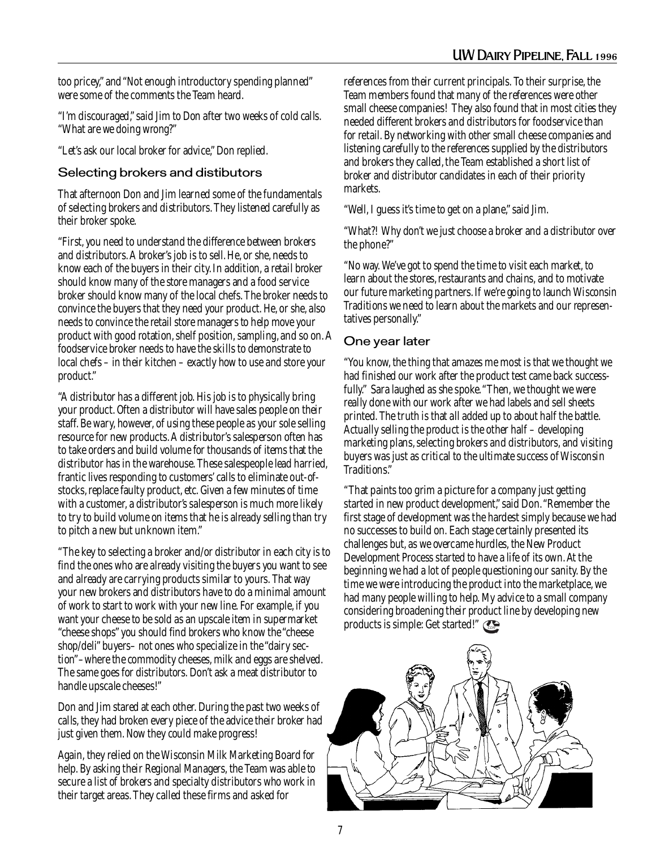too pricey," and "Not enough introductory spending planned" were some of the comments the Team heard.

"I'm discouraged," said Jim to Don after two weeks of cold calls. "What are we doing wrong?"

"Let's ask our local broker for advice," Don replied.

#### Selecting brokers and distibutors

That afternoon Don and Jim learned some of the fundamentals of selecting brokers and distributors. They listened carefully as their broker spoke.

"First, you need to understand the difference between brokers and distributors. A broker's job is to sell. He, or she, needs to know each of the buyers in their city. In addition, a retail broker should know many of the store managers and a food service broker should know many of the local chefs. The broker needs to convince the buyers that they need your product. He, or she, also needs to convince the retail store managers to help move your product with good rotation, shelf position, sampling, and so on. A foodservice broker needs to have the skills to demonstrate to local chefs – in their kitchen – exactly how to use and store your product."

"A distributor has a different job. His job is to physically bring your product. Often a distributor will have sales people on their staff. Be wary, however, of using these people as your sole selling resource for new products. A distributor's salesperson often has to take orders and build volume for thousands of items that the distributor has in the warehouse. These salespeople lead harried, frantic lives responding to customers' calls to eliminate out-ofstocks, replace faulty product, etc. Given a few minutes of time with a customer, a distributor's salesperson is much more likely to try to build volume on items that he is already selling than try to pitch a new but unknown item."

"The key to selecting a broker and/or distributor in each city is to find the ones who are already visiting the buyers you want to see and already are carrying products similar to yours. That way your new brokers and distributors have to do a minimal amount of work to start to work with your new line. For example, if you want your cheese to be sold as an upscale item in supermarket "cheese shops" you should find brokers who know the "cheese shop/deli" buyers– not ones who specialize in the "dairy section"–where the commodity cheeses, milk and eggs are shelved. The same goes for distributors. Don't ask a meat distributor to handle upscale cheeses!"

Don and Jim stared at each other. During the past two weeks of calls, they had broken every piece of the advice their broker had just given them. Now they could make progress!

Again, they relied on the Wisconsin Milk Marketing Board for help. By asking their Regional Managers, the Team was able to secure a list of brokers and specialty distributors who work in their target areas. They called these firms and asked for

references from their current principals. To their surprise, the Team members found that many of the references were other small cheese companies! They also found that in most cities they needed different brokers and distributors for foodservice than for retail. By networking with other small cheese companies and listening carefully to the references supplied by the distributors and brokers they called, the Team established a short list of broker and distributor candidates in each of their priority markets.

"Well, I guess it's time to get on a plane," said Jim.

"What?! Why don't we just choose a broker and a distributor over the phone?"

"No way. We've got to spend the time to visit each market, to learn about the stores, restaurants and chains, and to motivate our future marketing partners. If we're going to launch Wisconsin Traditions we need to learn about the markets and our representatives personally."

#### One year later

"You know, the thing that amazes me most is that we thought we had finished our work after the product test came back successfully." Sara laughed as she spoke. "Then, we thought we were really done with our work after we had labels and sell sheets printed. The truth is that all added up to about half the battle. Actually selling the product is the other half – developing marketing plans, selecting brokers and distributors, and visiting buyers was just as critical to the ultimate success of Wisconsin Traditions."

"That paints too grim a picture for a company just getting started in new product development," said Don. "Remember the first stage of development was the hardest simply because we had no successes to build on. Each stage certainly presented its challenges but, as we overcame hurdles, the New Product Development Process started to have a life of its own. At the beginning we had a lot of people questioning our sanity. By the time we were introducing the product into the marketplace, we had many people willing to help. My advice to a small company considering broadening their product line by developing new products is simple: Get started!"

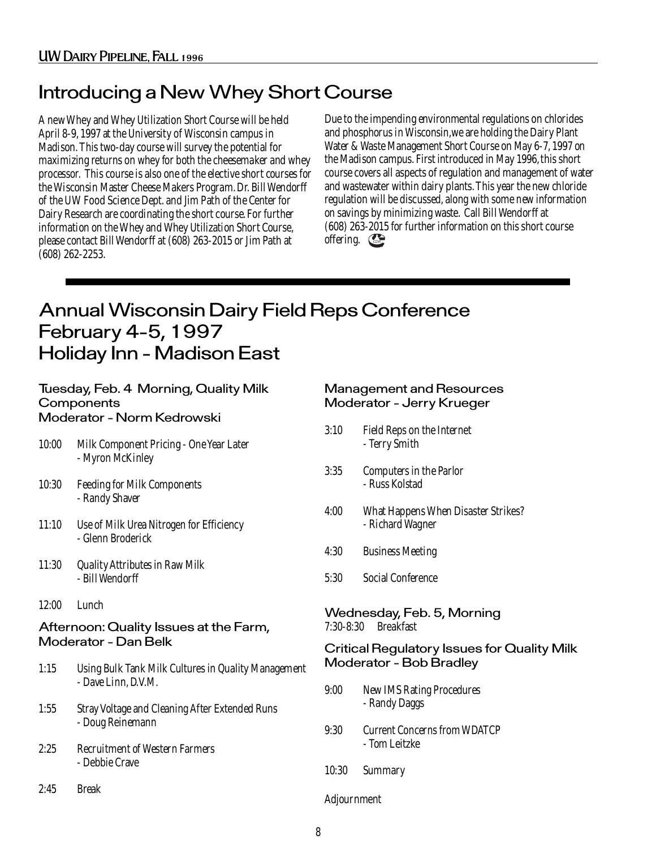### Introducing a New Whey Short Course

A new Whey and Whey Utilization Short Course will be held April 8-9, 1997 at the University of Wisconsin campus in Madison. This two-day course will survey the potential for maximizing returns on whey for both the cheesemaker and whey processor. This course is also one of the elective short courses for the Wisconsin Master Cheese Makers Program. Dr. Bill Wendorff of the UW Food Science Dept. and Jim Path of the Center for Dairy Research are coordinating the short course. For further information on the Whey and Whey Utilization Short Course, please contact Bill Wendorff at (608) 263-2015 or Jim Path at (608) 262-2253.

offering.  $\mathbb{C}$ Due to the impending environmental regulations on chlorides and phosphorus in Wisconsin,we are holding the Dairy Plant Water & Waste Management Short Course on May 6-7, 1997 on the Madison campus. First introduced in May 1996, this short course covers all aspects of regulation and management of water and wastewater within dairy plants. This year the new chloride regulation will be discussed, along with some new information on savings by minimizing waste. Call Bill Wendorff at (608) 263-2015 for further information on this short course

### Annual Wisconsin Dairy Field Reps Conference February 4-5, 1997 Holiday Inn - Madison East

|       | Tuesday, Feb. 4 Morning, Quality Milk<br>Components<br>Moderator - Norm Kedrowski |             | <b>Management and Resources</b><br>Moderator - Jerry Krueger |
|-------|-----------------------------------------------------------------------------------|-------------|--------------------------------------------------------------|
| 10:00 | Milk Component Pricing - One Year Later<br>- Myron McKinley                       | 3:10        | Field Reps on the Internet<br>- Terry Smith                  |
| 10:30 | <b>Feeding for Milk Components</b><br>- Randy Shaver                              | 3:35        | Computers in the Parlor<br>- Russ Kolstad                    |
| 11:10 | Use of Milk Urea Nitrogen for Efficiency<br>- Glenn Broderick                     | 4:00        | What Happens When Disaster Strikes?<br>- Richard Wagner      |
|       |                                                                                   | 4:30        | <b>Business Meeting</b>                                      |
| 11:30 | <b>Quality Attributes in Raw Milk</b><br>- Bill Wendorff                          | 5:30        | <b>Social Conference</b>                                     |
| 12:00 | Lunch                                                                             |             | Wednesday, Feb. 5, Morning                                   |
|       | Afternoon: Quality Issues at the Farm,                                            | $7:30-8:30$ | <b>Breakfast</b>                                             |
|       | <b>Moderator - Dan Belk</b>                                                       |             | <b>Critical Regulatory Issues for Quality Milk</b>           |
| 1:15  | Using Bulk Tank Milk Cultures in Quality Management                               |             | <b>Moderator - Bob Bradley</b>                               |
|       | - Dave Linn, D.V.M.                                                               | 9:00        | <b>New IMS Rating Procedures</b>                             |
| 1:55  | <b>Stray Voltage and Cleaning After Extended Runs</b><br>- Doug Reinemann         |             | - Randy Daggs                                                |
|       |                                                                                   | 9:30        | <b>Current Concerns from WDATCP</b><br>- Tom Leitzke         |
| 2:25  | <b>Recruitment of Western Farmers</b><br>- Debbie Crave                           | 10:30       | Summary                                                      |
| 2:45  | <b>Break</b>                                                                      | Adjournment |                                                              |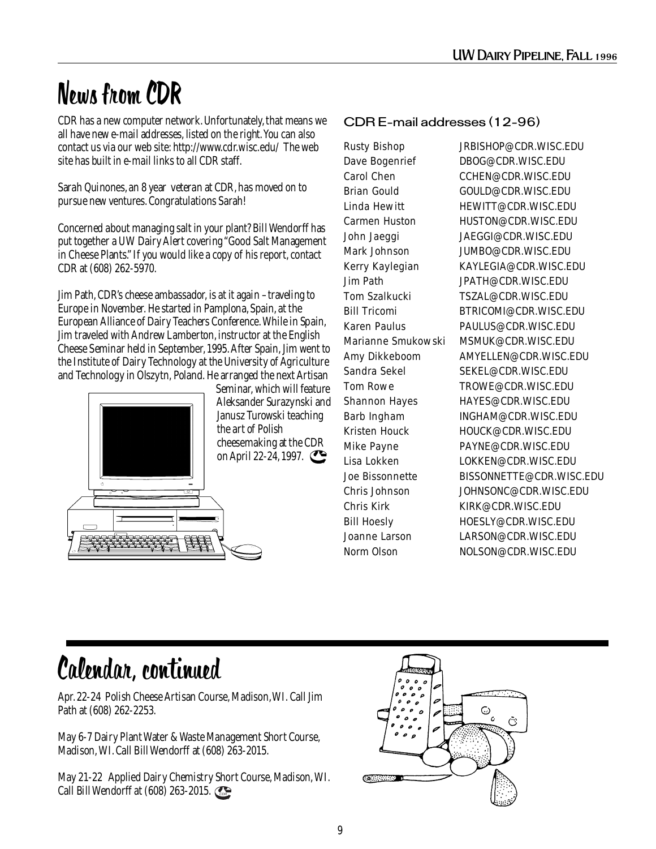# News from CDR

CDR has a new computer network. Unfortunately, that means we all have new e-mail addresses, listed on the right. You can also contact us via our web site: http://www.cdr.wisc.edu/ The web site has built in e-mail links to all CDR staff.

Sarah Quinones, an 8 year veteran at CDR, has moved on to pursue new ventures. Congratulations Sarah!

Concerned about managing salt in your plant? Bill Wendorff has put together a UW Dairy Alert covering "Good Salt Management in Cheese Plants." If you would like a copy of his report, contact CDR at (608) 262-5970.

Jim Path, CDR's cheese ambassador, is at it again –traveling to Europe in November. He started in Pamplona, Spain, at the European Alliance of Dairy Teachers Conference. While in Spain, Jim traveled with Andrew Lamberton, instructor at the English Cheese Seminar held in September, 1995. After Spain, Jim went to the Institute of Dairy Technology at the University of Agriculture and Technology in Olszytn, Poland. He arranged the next Artisan



Seminar, which will feature Aleksander Surazynski and Janusz Turowski teaching the art of Polish cheesemaking at the CDR on April 22-24, 1997.

#### CDR E-mail addresses (12-96)

Rusty Bishop JRBISHOP@CDR.WISC.EDU Dave Bogenrief DBOG@CDR.WISC.EDU Carol Chen CCHEN@CDR.WISC.EDU Brian Gould GOULD@CDR.WISC.EDU Linda Hewitt **HEWITT@CDR.WISC.EDU** Carmen Huston HUSTON@CDR.WISC.EDU John Jaeggi JAEGGI@CDR.WISC.EDU Mark Johnson JUMBO@CDR.WISC.EDU Kerry Kaylegian KAYLEGIA@CDR.WISC.EDU Jim Path JPATH@CDR.WISC.EDU Tom Szalkucki TSZAL@CDR.WISC.EDU Bill Tricomi BTRICOMI@CDR.WISC.EDU Karen Paulus PAULUS@CDR.WISC.EDU Marianne Smukowski MSMUK@CDR.WISC.EDU Amy Dikkeboom AMYELLEN@CDR.WISC.EDU Sandra Sekel SEKEL@CDR.WISC.EDU Tom Rowe TROWE@CDR.WISC.EDU Shannon Hayes HAYES@CDR.WISC.EDU Barb Ingham INGHAM@CDR.WISC.EDU Kristen Houck HOUCK@CDR.WISC.EDU Mike Payne PAYNE@CDR.WISC.EDU Lisa Lokken LOKKEN@CDR.WISC.EDU Joe Bissonnette BISSONNETTE@CDR.WISC.EDU Chris Johnson JOHNSONC@CDR.WISC.EDU Chris Kirk KIRK@CDR.WISC.EDU Bill Hoesly HOESLY@CDR.WISC.EDU Joanne Larson LARSON@CDR.WISC.EDU Norm Olson NOLSON@CDR.WISC.EDU

# Calendar, continued

Apr. 22-24 Polish Cheese Artisan Course, Madison, WI. Call Jim Path at (608) 262-2253.

May 6-7 Dairy Plant Water & Waste Management Short Course, Madison, WI. Call Bill Wendorff at (608) 263-2015.

May 21-22 Applied Dairy Chemistry Short Course, Madison, WI. Call Bill Wendorff at  $(608)$  263-2015.

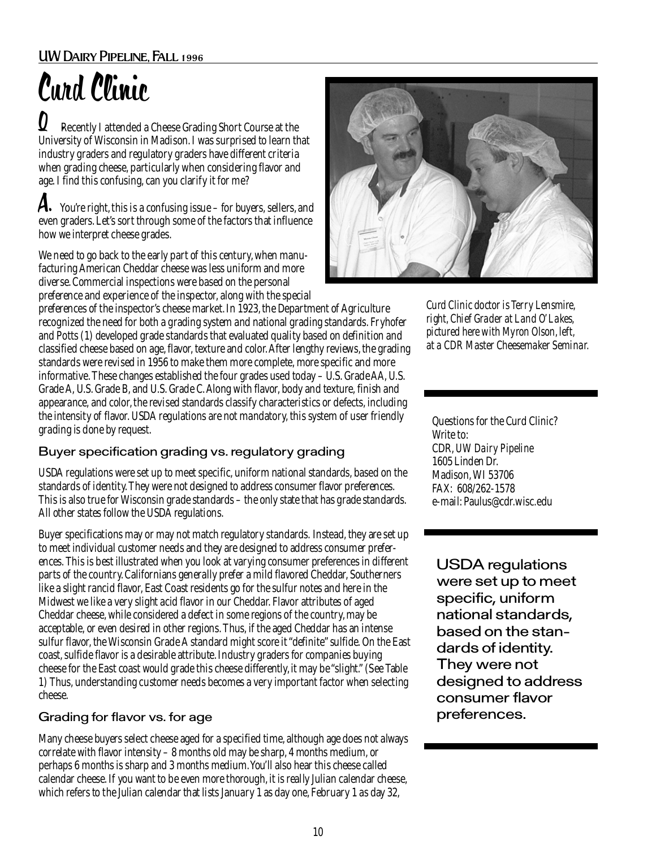#### UW Dairy Pipeline, Fall 1996

# Curd Clinic

 Recently I attended a Cheese Grading Short Course at the University of Wisconsin in Madison. I was surprised to learn that industry graders and regulatory graders have different criteria when grading cheese, particularly when considering flavor and age. I find this confusing, can you clarify it for me?  $\bm{Q}$  .

**A.** You're right, this is a confusing issue – for buyers, sellers, and even graders. Let's sort through some of the factors that influence how we interpret cheese grades.

We need to go back to the early part of this century, when manufacturing American Cheddar cheese was less uniform and more diverse. Commercial inspections were based on the personal preference and experience of the inspector, along with the special

preferences of the inspector's cheese market. In 1923, the Department of Agriculture recognized the need for both a grading system and national grading standards. Fryhofer and Potts (1) developed grade standards that evaluated quality based on definition and classified cheese based on age, flavor, texture and color. After lengthy reviews, the grading standards were revised in 1956 to make them more complete, more specific and more informative. These changes established the four grades used today – U.S. Grade AA, U.S. Grade A, U.S. Grade B, and U.S. Grade C. Along with flavor, body and texture, finish and appearance, and color, the revised standards classify characteristics or defects, including the intensity of flavor. USDA regulations are not mandatory, this system of user friendly grading is done by request.

#### Buyer specification grading vs. regulatory grading

USDA regulations were set up to meet specific, uniform national standards, based on the standards of identity. They were not designed to address consumer flavor preferences. This is also true for Wisconsin grade standards – the only state that has grade standards. All other states follow the USDA regulations.

Buyer specifications may or may not match regulatory standards. Instead, they are set up to meet individual customer needs and they are designed to address consumer preferences. This is best illustrated when you look at varying consumer preferences in different parts of the country. Californians generally prefer a mild flavored Cheddar, Southerners like a slight rancid flavor, East Coast residents go for the sulfur notes and here in the Midwest we like a very slight acid flavor in our Cheddar. Flavor attributes of aged Cheddar cheese, while considered a defect in some regions of the country, may be acceptable, or even desired in other regions. Thus, if the aged Cheddar has an intense sulfur flavor, the Wisconsin Grade A standard might score it "definite" sulfide. On the East coast, sulfide flavor is a desirable attribute. Industry graders for companies buying cheese for the East coast would grade this cheese differently, it may be "slight." (See Table 1) Thus, understanding customer needs becomes a very important factor when selecting cheese.

#### Grading for flavor vs. for age

Many cheese buyers select cheese aged for a specified time, although age does not always correlate with flavor intensity – 8 months old may be sharp, 4 months medium, or perhaps 6 months is sharp and 3 months medium. You'll also hear this cheese called calendar cheese. If you want to be even more thorough, it is really Julian calendar cheese, which refers to the Julian calendar that lists January 1 as day one, February 1 as day 32,



*Curd Clinic doctor is Terry Lensmire, right, Chief Grader at Land O' Lakes, pictured here with Myron Olson, left, at a CDR Master Cheesemaker Seminar.*

Questions for the Curd Clinic? Write to: CDR, *UW Dairy Pipeline* 1605 Linden Dr. Madison, WI 53706 FAX: 608/262-1578 e-mail: Paulus@cdr.wisc.edu

USDA regulations were set up to meet specific, uniform national standards, based on the standards of identity. They were not designed to address consumer flavor preferences.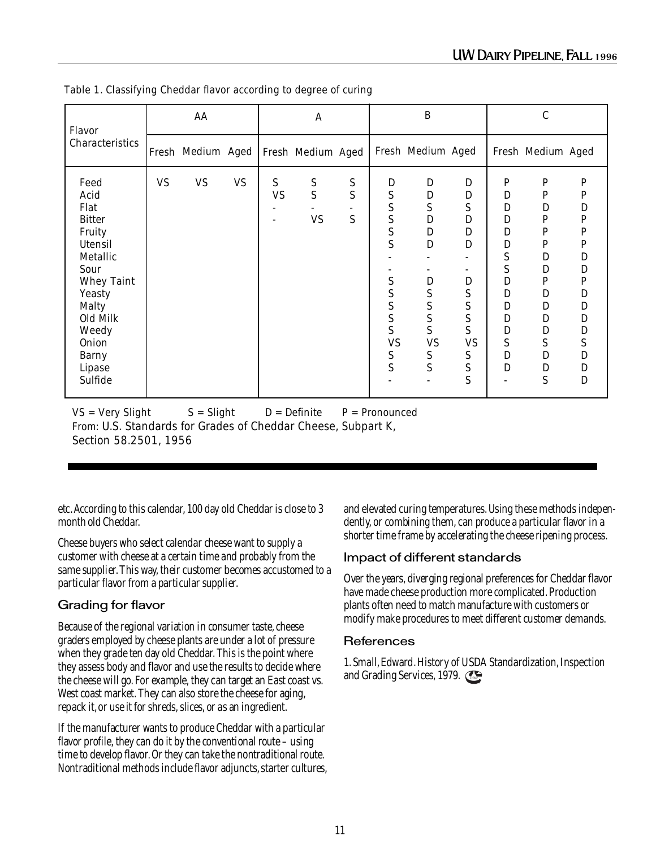| Flavor                                                                                                                                                                                                  | AA        |                                       |           | A              |                                 | $\, {\bf B}$ |                                                                                                                                       |                                                                                                                                                                                | $\mathcal{C}$                                                                                       |                                                                                                                                                                                                  |                                                                                                                                                                               |                                                                                   |
|---------------------------------------------------------------------------------------------------------------------------------------------------------------------------------------------------------|-----------|---------------------------------------|-----------|----------------|---------------------------------|--------------|---------------------------------------------------------------------------------------------------------------------------------------|--------------------------------------------------------------------------------------------------------------------------------------------------------------------------------|-----------------------------------------------------------------------------------------------------|--------------------------------------------------------------------------------------------------------------------------------------------------------------------------------------------------|-------------------------------------------------------------------------------------------------------------------------------------------------------------------------------|-----------------------------------------------------------------------------------|
| Characteristics                                                                                                                                                                                         |           | Fresh Medium Aged   Fresh Medium Aged |           |                |                                 |              |                                                                                                                                       | Fresh Medium Aged                                                                                                                                                              |                                                                                                     |                                                                                                                                                                                                  | Fresh Medium Aged                                                                                                                                                             |                                                                                   |
| Feed<br>Acid<br>Flat<br><b>Bitter</b><br>Fruity<br>Utensil<br><b>Metallic</b><br>Sour<br><b>Whey Taint</b><br>Yeasty<br>Malty<br>Old Milk<br>Weedy<br><b>Onion</b><br><b>Barny</b><br>Lipase<br>Sulfide | <b>VS</b> | <b>VS</b>                             | <b>VS</b> | S<br><b>VS</b> | ${\mathbf S}$<br>S<br><b>VS</b> | S<br>S<br>S  | D<br>${\bf S}$<br>S<br>S<br>${\bf S}$<br>S<br>${\bf S}$<br>S<br>S<br>$\mathbf S$<br>$\overline{S}$<br><b>VS</b><br>${\mathbf S}$<br>S | $\mathbf D$<br>$\mathbf D$<br>${\bf S}$<br>$\mathbf D$<br>$\mathbf D$<br>$\mathbf D$<br>$\mathbf D$<br>S<br>${\mathbf S}$<br>S<br>S<br><b>VS</b><br>${\mathbf S}$<br>${\bf S}$ | D<br>D<br>S<br>D<br>$\mathbf D$<br>$\mathbf D$<br>D<br>S<br>S<br>S<br>S<br><b>VS</b><br>S<br>S<br>S | ${\bf P}$<br>$\mathbf D$<br>$\mathbf D$<br>$\mathbf D$<br>$\mathbf D$<br>$\mathbf D$<br>S<br>S<br>$\mathbf D$<br>${\bf D}$<br>D<br>$\mathbf D$<br>$\mathbb D$<br>S<br>$\mathbf D$<br>$\mathbf D$ | P<br>P<br>$\mathbf D$<br>P<br>$\mathbf{P}$<br>P<br>$\mathbf{D}$<br>$\mathbf D$<br>P<br>$\mathbf D$<br>$\mathbf D$<br>$\mathbf D$<br>$\mathbf D$<br>S<br>D<br>$\mathbf D$<br>S | P<br>P<br>D<br>P<br>P<br>P<br>D<br>D<br>P<br>D<br>D<br>D<br>D<br>S<br>D<br>D<br>D |

Table 1. Classifying Cheddar flavor according to degree of curing

 $VS = Very$  S = Slight D = Definite P = Pronounced From: U.S. Standards for Grades of Cheddar Cheese, Subpart K, Section 58.2501, 1956

etc. According to this calendar, 100 day old Cheddar is close to 3 month old Cheddar.

Cheese buyers who select calendar cheese want to supply a customer with cheese at a certain time and probably from the same supplier. This way, their customer becomes accustomed to a particular flavor from a particular supplier.

#### Grading for flavor

Because of the regional variation in consumer taste, cheese graders employed by cheese plants are under a lot of pressure when they grade ten day old Cheddar. This is the point where they assess body and flavor and use the results to decide where the cheese will go. For example, they can target an East coast vs. West coast market. They can also store the cheese for aging, repack it, or use it for shreds, slices, or as an ingredient.

If the manufacturer wants to produce Cheddar with a particular flavor profile, they can do it by the conventional route – using time to develop flavor. Or they can take the nontraditional route. Nontraditional methods include flavor adjuncts, starter cultures, and elevated curing temperatures. Using these methods independently, or combining them, can produce a particular flavor in a shorter time frame by accelerating the cheese ripening process.

#### Impact of different standards

Over the years, diverging regional preferences for Cheddar flavor have made cheese production more complicated. Production plants often need to match manufacture with customers or modify make procedures to meet different customer demands.

#### **References**

1. Small, Edward. History of USDA Standardization, Inspection and Grading Services, 1979.